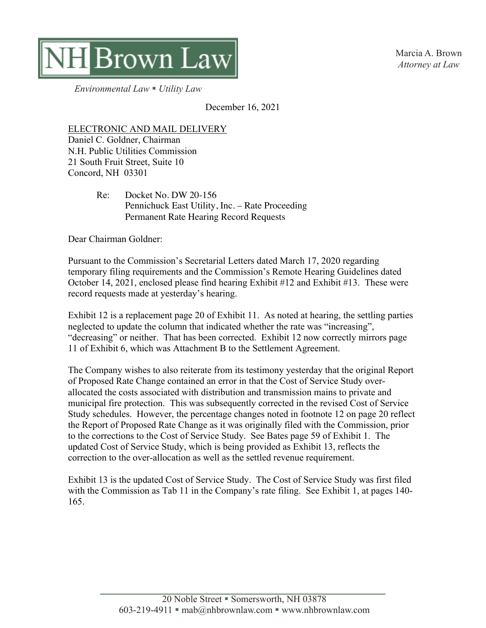

Marcia A. Brown *Attorney at Law*

*Environmental Law* § *Utility Law*

December 16, 2021

## ELECTRONIC AND MAIL DELIVERY

Daniel C. Goldner, Chairman N.H. Public Utilities Commission 21 South Fruit Street, Suite 10 Concord, NH 03301

> Re: Docket No. DW 20-156 Pennichuck East Utility, Inc. – Rate Proceeding Permanent Rate Hearing Record Requests

Dear Chairman Goldner:

Pursuant to the Commission's Secretarial Letters dated March 17, 2020 regarding temporary filing requirements and the Commission's Remote Hearing Guidelines dated October 14, 2021, enclosed please find hearing Exhibit #12 and Exhibit #13. These were record requests made at yesterday's hearing.

Exhibit 12 is a replacement page 20 of Exhibit 11. As noted at hearing, the settling parties neglected to update the column that indicated whether the rate was "increasing", "decreasing" or neither. That has been corrected. Exhibit 12 now correctly mirrors page 11 of Exhibit 6, which was Attachment B to the Settlement Agreement.

The Company wishes to also reiterate from its testimony yesterday that the original Report of Proposed Rate Change contained an error in that the Cost of Service Study overallocated the costs associated with distribution and transmission mains to private and municipal fire protection. This was subsequently corrected in the revised Cost of Service Study schedules. However, the percentage changes noted in footnote 12 on page 20 reflect the Report of Proposed Rate Change as it was originally filed with the Commission, prior to the corrections to the Cost of Service Study. See Bates page 59 of Exhibit 1. The updated Cost of Service Study, which is being provided as Exhibit 13, reflects the correction to the over-allocation as well as the settled revenue requirement.

Exhibit 13 is the updated Cost of Service Study. The Cost of Service Study was first filed with the Commission as Tab 11 in the Company's rate filing. See Exhibit 1, at pages 140- 165.